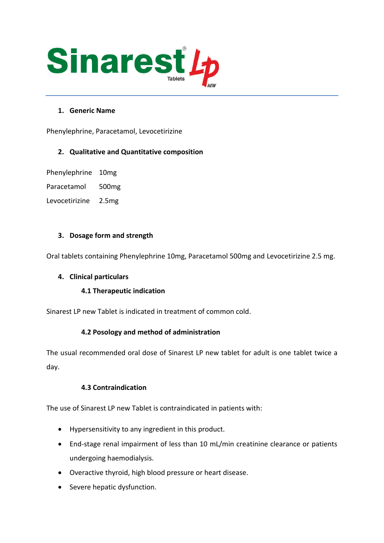

# **1. Generic Name**

Phenylephrine, Paracetamol, Levocetirizine

# **2. Qualitative and Quantitative composition**

Phenylephrine 10mg

Paracetamol 500mg

Levocetirizine 2.5mg

## **3. Dosage form and strength**

Oral tablets containing Phenylephrine 10mg, Paracetamol 500mg and Levocetirizine 2.5 mg.

## **4. Clinical particulars**

## **4.1 Therapeutic indication**

Sinarest LP new Tablet is indicated in treatment of common cold.

# **4.2 Posology and method of administration**

The usual recommended oral dose of Sinarest LP new tablet for adult is one tablet twice a day.

## **4.3 Contraindication**

The use of Sinarest LP new Tablet is contraindicated in patients with:

- Hypersensitivity to any ingredient in this product.
- End-stage renal impairment of less than 10 mL/min creatinine clearance or patients undergoing haemodialysis.
- Overactive thyroid, high blood pressure or heart disease.
- Severe hepatic dysfunction.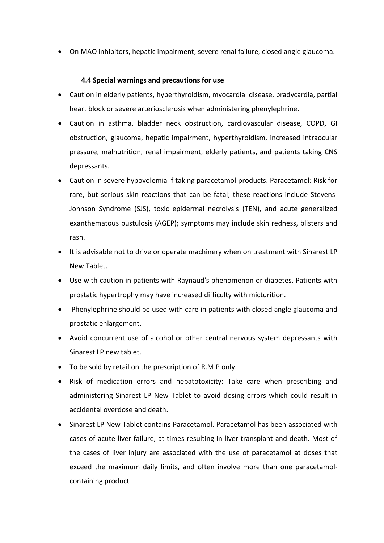• On MAO inhibitors, hepatic impairment, severe renal failure, closed angle glaucoma.

## **4.4 Special warnings and precautions for use**

- Caution in elderly patients, hyperthyroidism, myocardial disease, bradycardia, partial heart block or severe arteriosclerosis when administering phenylephrine.
- Caution in asthma, bladder neck obstruction, cardiovascular disease, COPD, GI obstruction, glaucoma, hepatic impairment, hyperthyroidism, increased intraocular pressure, malnutrition, renal impairment, elderly patients, and patients taking CNS depressants.
- Caution in severe hypovolemia if taking paracetamol products. Paracetamol: Risk for rare, but serious skin reactions that can be fatal; these reactions include Stevens-Johnson Syndrome (SJS), toxic epidermal necrolysis (TEN), and acute generalized exanthematous pustulosis (AGEP); symptoms may include skin redness, blisters and rash.
- It is advisable not to drive or operate machinery when on treatment with Sinarest LP New Tablet.
- Use with caution in patients with Raynaud's phenomenon or diabetes. Patients with prostatic hypertrophy may have increased difficulty with micturition.
- Phenylephrine should be used with care in patients with closed angle glaucoma and prostatic enlargement.
- Avoid concurrent use of alcohol or other central nervous system depressants with Sinarest LP new tablet.
- To be sold by retail on the prescription of R.M.P only.
- Risk of medication errors and hepatotoxicity: Take care when prescribing and administering Sinarest LP New Tablet to avoid dosing errors which could result in accidental overdose and death.
- Sinarest LP New Tablet contains Paracetamol. Paracetamol has been associated with cases of acute liver failure, at times resulting in liver transplant and death. Most of the cases of liver injury are associated with the use of paracetamol at doses that exceed the maximum daily limits, and often involve more than one paracetamolcontaining product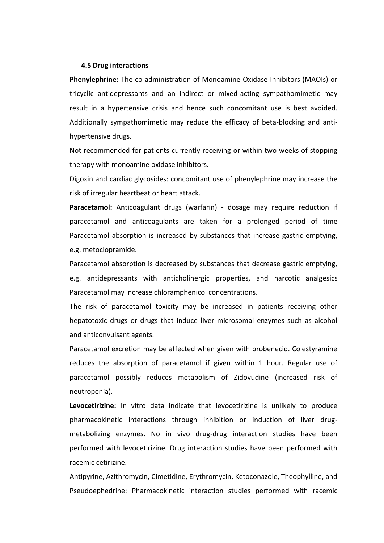#### **4.5 Drug interactions**

**Phenylephrine:** The co-administration of Monoamine Oxidase Inhibitors (MAOIs) or tricyclic antidepressants and an indirect or mixed-acting sympathomimetic may result in a hypertensive crisis and hence such concomitant use is best avoided. Additionally sympathomimetic may reduce the efficacy of beta-blocking and antihypertensive drugs.

Not recommended for patients currently receiving or within two weeks of stopping therapy with monoamine oxidase inhibitors.

Digoxin and cardiac glycosides: concomitant use of phenylephrine may increase the risk of irregular heartbeat or heart attack.

Paracetamol: Anticoagulant drugs (warfarin) - dosage may require reduction if paracetamol and anticoagulants are taken for a prolonged period of time Paracetamol absorption is increased by substances that increase gastric emptying, e.g. metoclopramide.

Paracetamol absorption is decreased by substances that decrease gastric emptying, e.g. antidepressants with anticholinergic properties, and narcotic analgesics Paracetamol may increase chloramphenicol concentrations.

The risk of paracetamol toxicity may be increased in patients receiving other hepatotoxic drugs or drugs that induce liver microsomal enzymes such as alcohol and anticonvulsant agents.

Paracetamol excretion may be affected when given with probenecid. Colestyramine reduces the absorption of paracetamol if given within 1 hour. Regular use of paracetamol possibly reduces metabolism of Zidovudine (increased risk of neutropenia).

**Levocetirizine:** In vitro data indicate that levocetirizine is unlikely to produce pharmacokinetic interactions through inhibition or induction of liver drugmetabolizing enzymes. No in vivo drug-drug interaction studies have been performed with levocetirizine. Drug interaction studies have been performed with racemic cetirizine.

Antipyrine, Azithromycin, Cimetidine, Erythromycin, Ketoconazole, Theophylline, and Pseudoephedrine: Pharmacokinetic interaction studies performed with racemic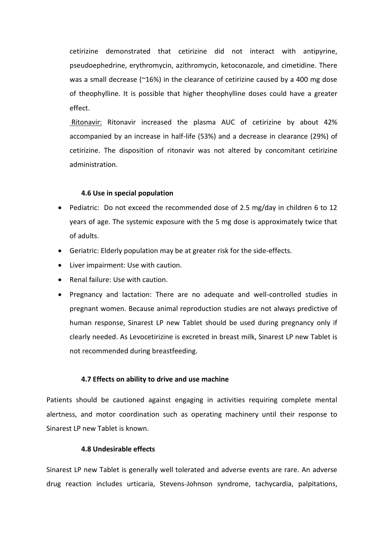cetirizine demonstrated that cetirizine did not interact with antipyrine, pseudoephedrine, erythromycin, azithromycin, ketoconazole, and cimetidine. There was a small decrease (~16%) in the clearance of cetirizine caused by a 400 mg dose of theophylline. It is possible that higher theophylline doses could have a greater effect.

Ritonavir: Ritonavir increased the plasma AUC of cetirizine by about 42% accompanied by an increase in half-life (53%) and a decrease in clearance (29%) of cetirizine. The disposition of ritonavir was not altered by concomitant cetirizine administration.

#### **4.6 Use in special population**

- Pediatric: Do not exceed the recommended dose of 2.5 mg/day in children 6 to 12 years of age. The systemic exposure with the 5 mg dose is approximately twice that of adults.
- Geriatric: Elderly population may be at greater risk for the side-effects.
- Liver impairment: Use with caution.
- Renal failure: Use with caution.
- Pregnancy and lactation: There are no adequate and well-controlled studies in pregnant women. Because animal reproduction studies are not always predictive of human response, Sinarest LP new Tablet should be used during pregnancy only if clearly needed. As Levocetirizine is excreted in breast milk, Sinarest LP new Tablet is not recommended during breastfeeding.

#### **4.7 Effects on ability to drive and use machine**

Patients should be cautioned against engaging in activities requiring complete mental alertness, and motor coordination such as operating machinery until their response to Sinarest LP new Tablet is known.

## **4.8 Undesirable effects**

Sinarest LP new Tablet is generally well tolerated and adverse events are rare. An adverse drug reaction includes urticaria, Stevens-Johnson syndrome, tachycardia, palpitations,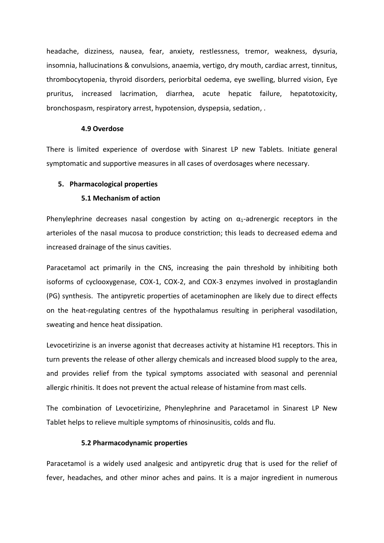headache, dizziness, nausea, fear, anxiety, restlessness, tremor, weakness, dysuria, insomnia, hallucinations & convulsions, anaemia, vertigo, dry mouth, cardiac arrest, tinnitus, thrombocytopenia, thyroid disorders, periorbital oedema, eye swelling, blurred vision, Eye pruritus, increased lacrimation, diarrhea, acute hepatic failure, hepatotoxicity, bronchospasm, respiratory arrest, hypotension, dyspepsia, sedation, .

#### **4.9 Overdose**

There is limited experience of overdose with Sinarest LP new Tablets. Initiate general symptomatic and supportive measures in all cases of overdosages where necessary.

#### **5. Pharmacological properties**

#### **5.1 Mechanism of action**

Phenylephrine decreases nasal congestion by acting on  $\alpha_1$ -adrenergic receptors in the arterioles of the nasal mucosa to produce constriction; this leads to decreased edema and increased drainage of the sinus cavities.

Paracetamol act primarily in the CNS, increasing the pain threshold by inhibiting both isoforms of cyclooxygenase, COX-1, COX-2, and COX-3 enzymes involved in prostaglandin (PG) synthesis. The antipyretic properties of acetaminophen are likely due to direct effects on the heat-regulating centres of the hypothalamus resulting in peripheral vasodilation, sweating and hence heat dissipation.

Levocetirizine is an inverse agonist that decreases activity at histamine H1 receptors. This in turn prevents the release of other allergy chemicals and increased blood supply to the area, and provides relief from the typical symptoms associated with seasonal and perennial allergic rhinitis. It does not prevent the actual release of histamine from mast cells.

The combination of Levocetirizine, Phenylephrine and Paracetamol in Sinarest LP New Tablet helps to relieve multiple symptoms of rhinosinusitis, colds and flu.

#### **5.2 Pharmacodynamic properties**

Paracetamol is a widely used analgesic and antipyretic drug that is used for the relief of fever, headaches, and other minor aches and pains. It is a major ingredient in numerous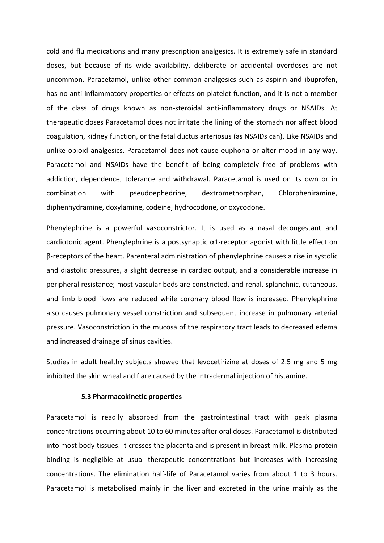cold and flu medications and many prescription analgesics. It is extremely safe in standard doses, but because of its wide availability, deliberate or accidental overdoses are not uncommon. Paracetamol, unlike other common analgesics such as aspirin and ibuprofen, has no anti-inflammatory properties or effects on platelet function, and it is not a member of the class of drugs known as non-steroidal anti-inflammatory drugs or NSAIDs. At therapeutic doses Paracetamol does not irritate the lining of the stomach nor affect blood coagulation, kidney function, or the fetal ductus arteriosus (as NSAIDs can). Like NSAIDs and unlike opioid analgesics, Paracetamol does not cause euphoria or alter mood in any way. Paracetamol and NSAIDs have the benefit of being completely free of problems with addiction, dependence, tolerance and withdrawal. Paracetamol is used on its own or in combination with pseudoephedrine, dextromethorphan, Chlorpheniramine, diphenhydramine, doxylamine, codeine, hydrocodone, or oxycodone.

Phenylephrine is a powerful vasoconstrictor. It is used as a nasal decongestant and cardiotonic agent. Phenylephrine is a postsynaptic α1-receptor agonist with little effect on β-receptors of the heart. Parenteral administration of phenylephrine causes a rise in systolic and diastolic pressures, a slight decrease in cardiac output, and a considerable increase in peripheral resistance; most vascular beds are constricted, and renal, splanchnic, cutaneous, and limb blood flows are reduced while coronary blood flow is increased. Phenylephrine also causes pulmonary vessel constriction and subsequent increase in pulmonary arterial pressure. Vasoconstriction in the mucosa of the respiratory tract leads to decreased edema and increased drainage of sinus cavities.

Studies in adult healthy subjects showed that levocetirizine at doses of 2.5 mg and 5 mg inhibited the skin wheal and flare caused by the intradermal injection of histamine.

#### **5.3 Pharmacokinetic properties**

Paracetamol is readily absorbed from the gastrointestinal tract with peak plasma concentrations occurring about 10 to 60 minutes after oral doses. Paracetamol is distributed into most body tissues. It crosses the placenta and is present in breast milk. Plasma-protein binding is negligible at usual therapeutic concentrations but increases with increasing concentrations. The elimination half-life of Paracetamol varies from about 1 to 3 hours. Paracetamol is metabolised mainly in the liver and excreted in the urine mainly as the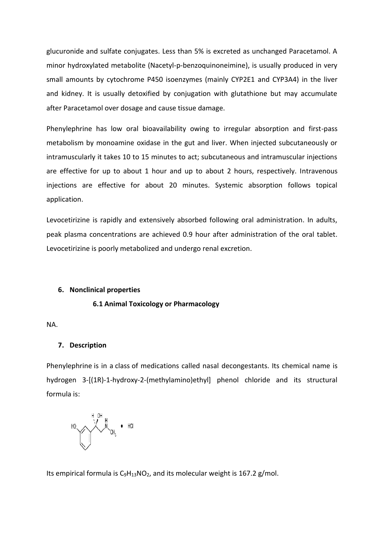glucuronide and sulfate conjugates. Less than 5% is excreted as unchanged Paracetamol. A minor hydroxylated metabolite (Nacetyl-p-benzoquinoneimine), is usually produced in very small amounts by cytochrome P450 isoenzymes (mainly CYP2E1 and CYP3A4) in the liver and kidney. It is usually detoxified by conjugation with glutathione but may accumulate after Paracetamol over dosage and cause tissue damage.

Phenylephrine has low oral bioavailability owing to irregular absorption and first-pass metabolism by monoamine oxidase in the gut and liver. When injected subcutaneously or intramuscularly it takes 10 to 15 minutes to act; subcutaneous and intramuscular injections are effective for up to about 1 hour and up to about 2 hours, respectively. Intravenous injections are effective for about 20 minutes. Systemic absorption follows topical application.

Levocetirizine is rapidly and extensively absorbed following oral administration. In adults, peak plasma concentrations are achieved 0.9 hour after administration of the oral tablet. Levocetirizine is poorly metabolized and undergo renal excretion.

#### **6. Nonclinical properties**

#### **6.1 Animal Toxicology or Pharmacology**

NA.

#### **7. Description**

Phenylephrine is in a class of medications called nasal decongestants. Its chemical name is hydrogen 3-[(1R)-1-hydroxy-2-(methylamino)ethyl] phenol chloride and its structural formula is:

$$
\begin{array}{ccccccc}\n\mathsf{HO} & & & \mathsf{H} & & \mathsf{H} & & \mathsf{H} \\
\hline\n\mathsf{HO} & & & \mathsf{N} & & \mathsf{H} & & \mathsf{H} \\
\hline\n\mathsf{O} & & & \mathsf{N} & & \mathsf{H} & & \mathsf{H} \\
\hline\n\mathsf{O} & & & \mathsf{N} & & \mathsf{H} & & \mathsf{H} & & \mathsf{H} \\
\hline\n\mathsf{O} & & & \mathsf{N} & & \mathsf{H} & & \mathsf{H} & & \mathsf{H} & & \mathsf{H} \\
\hline\n\mathsf{O} & & & \mathsf{N} & & \mathsf{M} & & \mathsf{H} & & \mathsf{H} & & \mathsf{H} & & \mathsf{H} & & \mathsf{H} & & \mathsf{H} & & \mathsf{H} & & \mathsf{H} & & \mathsf{H} & & \mathsf{H} & & \mathsf{H} & & \mathsf{H} & & \mathsf{H} & & \mathsf{H} & & \mathsf{H} & & \mathsf{H} & & \mathsf{H} & & \mathsf{H} & & \mathsf{H} & & \mathsf{H} & & \mathsf{H} & & \mathsf{H} & & \mathsf{H} & & \mathsf{H} & & \mathsf{H} & & \mathsf{H} & & \mathsf{H} & & \mathsf{H} & & \mathsf{H} & & \mathsf{H} & & \mathsf{H} & & \mathsf{H} & & \mathsf{H} & & \mathsf{H} & & \mathsf{H} & & \mathsf{H} & & \mathsf{H} & & \mathsf{H} & & \mathsf{H} & & \mathsf{H} & & \mathsf{H} & & \mathsf{H} & & \mathsf{H} & & \mathsf{H} & & \mathsf{H} & & \mathsf{H} & & \mathsf{H} & & \mathsf{H} & & \mathsf{H} & & \mathsf{H} & & \mathsf{H} & & \mathsf{H} & & \mathsf{H} & & \mathsf{H} & & \mathsf{H} & & \mathsf{H} & & \mathsf{H} & & \mathsf{H} & & \mathsf{H} & & \mathsf{H} & & \mathsf{H} & & \mathsf{H} & & \mathsf{H} & & \mathsf{H} & & \mathsf{H} & & \math
$$

Its empirical formula is  $C_9H_{13}NO_2$  $C_9H_{13}NO_2$  $C_9H_{13}NO_2$ , and its molecular weight is 167.2 g/mol.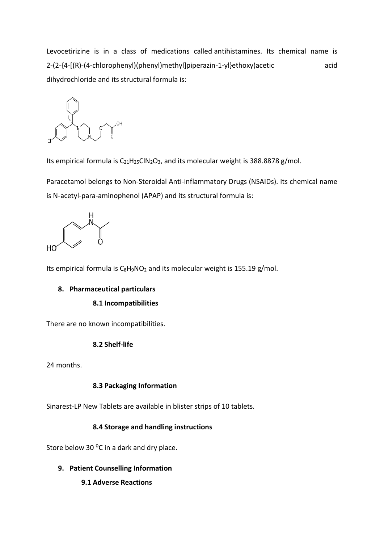Levocetirizine is in a class of medications called antihistamines. Its chemical name is 2-(2-{4-[(R)-(4-chlorophenyl)(phenyl)methyl]piperazin-1-yl}ethoxy)acetic acid dihydrochloride and its structural formula is:



Its empirical formula is  $C_{21}H_{25}CIN_2O_3$ , and its molecular weight is 388.8878 g/mol.

Paracetamol belongs to Non-Steroidal Anti-inflammatory Drugs (NSAIDs). Its chemical name is N-acetyl-para-aminophenol (APAP) and its structural formula is:



Its empirical formula is  $C_8H_9NO_2$  $C_8H_9NO_2$  $C_8H_9NO_2$  and its molecular weight is 155.19 g/mol.

## **8. Pharmaceutical particulars**

#### **8.1 Incompatibilities**

There are no known incompatibilities.

#### **8.2 Shelf-life**

24 months.

#### **8.3 Packaging Information**

Sinarest-LP New Tablets are available in blister strips of 10 tablets.

## **8.4 Storage and handling instructions**

Store below 30 °C in a dark and dry place.

- **9. Patient Counselling Information**
	- **9.1 Adverse Reactions**